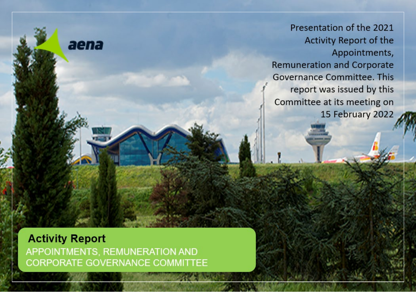Presentation of the 2021 Activity Report of the **Presentation of the 2021 According to 2021** Report of the Appointments, Remuneration and Corporate muncration and Corp was issued Committee iance commute report was issued by this Committee at its meeting on 15 February 2022

**Activity Report**<br>APPOINTMENTS, REMUNERATION AND **APPOINT COVEDNANCE REURATE GOVERNANCE COMMITTEE** 

aena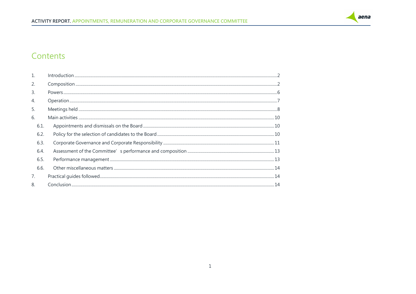

### Contents

| 2.             |      |
|----------------|------|
| $\mathbf{3}$ . |      |
| 4.             |      |
| 5.             |      |
| 6.             |      |
| 6.1.           |      |
| 6.2.           |      |
| 6.3.           |      |
| 6.4.           |      |
| 6.5.           |      |
| 6.6.           |      |
| 7.             | . 14 |
| 8.             | 14   |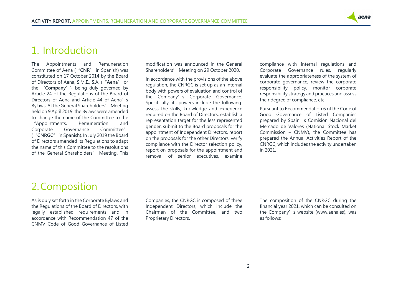

## <span id="page-2-0"></span>1. Introduction

The Appointments and Remuneration Committee of Aena ("**CNR**" in Spanish) was constituted on 17 October 2014 by the Board of Directors of Aena, S.M.E., S.A. ("**Aena**" or the "**Company**"), being duly governed by Article 24 of the Regulations of the Board of Directors of Aena and Article 44 of Aena's Bylaws. At the General Shareholders' Meeting held on 9 April 2019, the Bylaws were amended to change the name of the Committee to the "Appointments, Remuneration and Corporate Governance Committee" ("**CNRGC**" in Spanish). In July 2019 the Board of Directors amended its Regulations to adapt the name of this Committee to the resolutions of the General Shareholders' Meeting. This

modification was announced in the General Shareholders' Meeting on 29 October 2020.

In accordance with the provisions of the above regulation, the CNRGC is set up as an internal body with powers of evaluation and control of the Company's Corporate Governance. Specifically, its powers include the following: assess the skills, knowledge and experience required on the Board of Directors, establish a representation target for the less represented gender, submit to the Board proposals for the appointment of Independent Directors, report on the proposals for the other Directors, verify compliance with the Director selection policy, report on proposals for the appointment and removal of senior executives, examine

compliance with internal regulations and Corporate Governance rules, regularly evaluate the appropriateness of the system of corporate governance, review the corporate responsibility policy, monitor corporate responsibility strategy and practices and assess their degree of compliance, etc.

Pursuant to Recommendation 6 of the Code of Good Governance of Listed Companies prepared by Spain's Comisión Nacional del Mercado de Valores (National Stock Market Commission – CNMV), the Committee has prepared the Annual Activities Report of the CNRGC, which includes the activity undertaken in 2021.

## <span id="page-2-1"></span>2.Composition

As is duly set forth in the Corporate Bylaws and the Regulations of the Board of Directors, with legally established requirements and in accordance with Recommendation 47 of the CNMV Code of Good Governance of Listed

Companies, the CNRGC is composed of three Independent Directors, which include the Chairman of the Committee, and two Proprietary Directors.

The composition of the CNRGC during the financial year 2021, which can be consulted on the Company's website (www.aena.es), was as follows: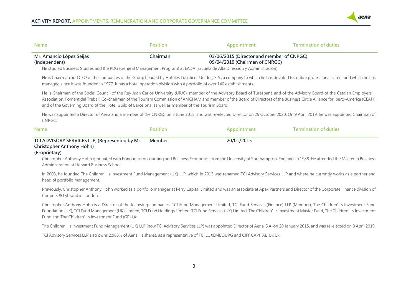

| <b>Name</b>                                                                                                                                | <b>Position</b> | Appointment                                                                                                                                                                                               | <b>Termination of duties</b>                                                                                                                                                                                                                                                                                                                                    |
|--------------------------------------------------------------------------------------------------------------------------------------------|-----------------|-----------------------------------------------------------------------------------------------------------------------------------------------------------------------------------------------------------|-----------------------------------------------------------------------------------------------------------------------------------------------------------------------------------------------------------------------------------------------------------------------------------------------------------------------------------------------------------------|
| Mr. Amancio López Seijas<br>(Independent)                                                                                                  | Chairman        | 03/06/2015 (Director and member of CNRGC)<br>09/04/2019 (Chairman of CNRGC)<br>He studied Business Studies and the PDG (General Management Program) at EADA (Escuela de Alta Dirección y Administración). |                                                                                                                                                                                                                                                                                                                                                                 |
| managed since it was founded in 1977. It has a hotel operation division with a portfolio of over 140 establishments.                       |                 |                                                                                                                                                                                                           | He is Chairman and CEO of the companies of the Group headed by Hoteles Turísticos Unidos, S.A., a company to which he has devoted his entire professional career and which he has                                                                                                                                                                               |
| and of the Governing Board of the Hotel Guild of Barcelona, as well as member of the Tourism Board.                                        |                 |                                                                                                                                                                                                           | He is Chairman of the Social Council of the Rey Juan Carlos University (URJC), member of the Advisory Board of Turespaña and of the Advisory Board of the Catalan Employers'<br>Association, Foment del Treball, Co-chairman of the Tourism Commission of AMCHAM and member of the Board of Directors of the Business Circle Alliance for Ibero-America (CEAPI) |
| CNRGC.                                                                                                                                     |                 |                                                                                                                                                                                                           | He was appointed a Director of Aena and a member of the CNRGC on 3 June 2015, and was re-elected Director on 29 October 2020. On 9 April 2019, he was appointed Chairman of                                                                                                                                                                                     |
| <b>Name</b>                                                                                                                                | <b>Position</b> | Appointment                                                                                                                                                                                               | <b>Termination of duties</b>                                                                                                                                                                                                                                                                                                                                    |
| TCI ADVISORY SERVICES LLP, (Represented by Mr.<br>Christopher Anthony Hohn)<br>(Proprietary)<br>Administration at Harvard Business School. | Member          | 20/01/2015                                                                                                                                                                                                | Christopher Anthony Hohn graduated with honours in Accounting and Business Economics from the University of Southampton, England, in 1988. He attended the Master in Business                                                                                                                                                                                   |
| head of portfolio management.                                                                                                              |                 |                                                                                                                                                                                                           | In 2003, he founded The Children's Investment Fund Management (UK) LLP, which in 2015 was renamed TCI Advisory Services LLP and where he currently works as a partner and                                                                                                                                                                                       |
| Coopers & Lybrand in London.                                                                                                               |                 |                                                                                                                                                                                                           | Previously, Christopher Anthony Hohn worked as a portfolio manager at Perry Capital Limited and was an associate at Apax Partners and Director of the Corporate Finance division of                                                                                                                                                                             |
| Fund and The Children' s Investment Fund (GP) Ltd.                                                                                         |                 |                                                                                                                                                                                                           | Christopher Anthony Hohn is a Director of the following companies: TCI Fund Management Limited, TCI Fund Services (Finance) LLP (Member), The Children's Investment Fund<br>Foundation (UK), TCI Fund Management (UK) Limited, TCI Fund Holdings Limited, TCI Fund Services (UK) Limited, The Children' s Investment Master Fund, The Children' s Investment    |
|                                                                                                                                            |                 |                                                                                                                                                                                                           | The Children's Investment Fund Management (UK) LLP (now TCI Advisory Services LLP) was appointed Director of Aena, S.A. on 20 January 2015, and was re-elected on 9 April 2019.                                                                                                                                                                                 |

TCI Advisory Services LLP also owns 2.968% of Aena's shares, as a representative of TCI LUXEMBOURG and CIFF CAPITAL, UK LP.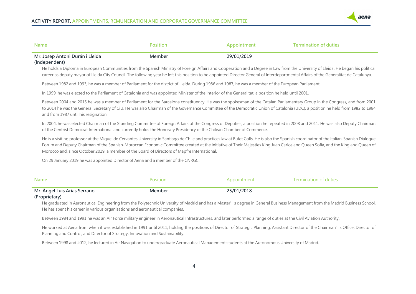

| Name                             | Position | Appointment | <b>Termination of duties</b> |
|----------------------------------|----------|-------------|------------------------------|
| Mr. Josep Antoni Durán i Lleida  | Member   | 29/01/2019  |                              |
| $\mathbf{u}$ is the $\mathbf{u}$ |          |             |                              |

#### **(Independent)**

He holds a Diploma in European Communities from the Spanish Ministry of Foreign Affairs and Cooperation and a Degree in Law from the University of Lleida. He began his political career as deputy mayor of Lleida City Council. The following year he left this position to be appointed Director General of Interdepartmental Affairs of the Generalitat de Catalunya.

Between 1982 and 1993, he was a member of Parliament for the district of Lleida. During 1986 and 1987, he was a member of the European Parliament.

In 1999, he was elected to the Parliament of Catalonia and was appointed Minister of the Interior of the Generalitat, a position he held until 2001.

Between 2004 and 2015 he was a member of Parliament for the Barcelona constituency. He was the spokesman of the Catalan Parliamentary Group in the Congress, and from 2001 to 2014 he was the General Secretary of CiU. He was also Chairman of the Governance Committee of the Democratic Union of Catalonia (UDC), a position he held from 1982 to 1984 and from 1987 until his resignation.

In 2004, he was elected Chairman of the Standing Committee of Foreign Affairs of the Congress of Deputies, a position he repeated in 2008 and 2011. He was also Deputy Chairman of the Centrist Democrat International and currently holds the Honorary Presidency of the Chilean Chamber of Commerce.

He is a visiting professor at the Miguel de Cervantes University in Santiago de Chile and practices law at Bufet Colls. He is also the Spanish coordinator of the Italian-Spanish Dialogue Forum and Deputy Chairman of the Spanish-Moroccan Economic Committee created at the initiative of Their Majesties King Juan Carlos and Queen Sofia, and the King and Queen of Morocco and, since October 2019, a member of the Board of Directors of Mapfre International.

On 29 January 2019 he was appointed Director of Aena and a member of the CNRGC.

| Name                         | Position | Appointment | Termination of duties |
|------------------------------|----------|-------------|-----------------------|
| Mr. Ángel Luis Arias Serrano | Member   | 25/01/2018  |                       |
| (Proprietary)                |          |             |                       |

#### He graduated in Aeronautical Engineering from the Polytechnic University of Madrid and has a Master's degree in General Business Management from the Madrid Business School. He has spent his career in various organisations and aeronautical companies.

Between 1984 and 1991 he was an Air Force military engineer in Aeronautical Infrastructures, and later performed a range of duties at the Civil Aviation Authority.

He worked at Aena from when it was established in 1991 until 2011, holding the positions of Director of Strategic Planning, Assistant Director of the Chairman's Office, Director of Planning and Control, and Director of Strategy, Innovation and Sustainability.

Between 1998 and 2012, he lectured in Air Navigation to undergraduate Aeronautical Management students at the Autonomous University of Madrid.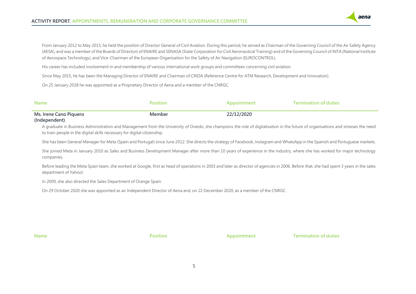#### **ACTIVITY REPORT. APPOINTMENTS, REMUNERATION AND CORPORATE GOVERNANCE COMMITTEE**

From January 2012 to May 2015, he held the position of Director General of Civil Aviation. During this period, he served as Chairman of the Governing Council of the Air Safety Agency (AESA), and was a member of the Boards of Directors of ENAIRE and SENASA (State Corporation for Civil Aeronautical Training) and of the Governing Council of INTA (National Institute of Aerospace Technology), and Vice-Chairman of the European Organisation for the Safety of Air Navigation (EUROCONTROL).

His career has included involvement in and membership of various international work groups and committees concerning civil aviation.

Since May 2015, he has been the Managing Director of ENAIRE and Chairman of CRIDA (Reference Centre for ATM Research, Development and Innovation).

On 25 January 2018 he was appointed as a Proprietary Director of Aena and a member of the CNRGC.

| <b>Name</b>            | Position | ppointment | <b>Termination of duties</b> |
|------------------------|----------|------------|------------------------------|
| Ms. Irene Cano Piquero | Member   | 22/12/2020 |                              |
| (Independent)          |          |            |                              |

A graduate in Business Administration and Management from the University of Oviedo, she champions the role of digitalisation in the future of organisations and stresses the need to train people in the digital skills necessary for digital citizenship.

She has been General Manager for Meta (Spain and Portugal) since June 2012. She directs the strategy of Facebook, Instagram and WhatsApp in the Spanish and Portuguese markets.

She joined Meta in January 2010 as Sales and Business Development Manager after more than 10 years of experience in the industry, where she has worked for major technology companies.

Before leading the Meta Spain team, she worked at Google, first as head of operations in 2003 and later as director of agencies in 2006. Before that, she had spent 3 years in the sales department of Yahoo!.

In 2009, she also directed the Sales Department of Orange Spain.

On 29 October 2020 she was appointed as an Independent Director of Aena and, on 22 December 2020, as a member of the CNRGC.

**Name Position Position Appointment Termination of duties** 

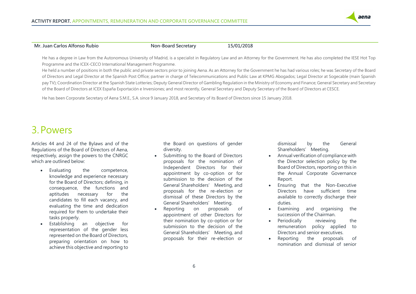

#### **Mr. Juan Carlos Alfonso Rubio Non-Board Secretary 15/01/2018**

He has a degree in Law from the Autonomous University of Madrid, is a specialist in Regulatory Law and an Attorney for the Government. He has also completed the IESE Hot Top Programme and the ICEX-CECO International Management Programme.

He held a number of positions in both the public and private sectors prior to joining Aena. As an Attorney for the Government he has had various roles; he was Secretary of the Board of Directors and Legal Director at the Spanish Post Office; partner in charge of Telecommunications and Public Law at KPMG Abogados; Legal Director at Sogecable (main Spanish pay TV); Coordination Director at the Spanish State Lotteries; Deputy General Director of Gambling Regulation in the Ministry of Economy and Finance; General Secretary and Secretary of the Board of Directors at ICEX España Exportación e Inversiones; and most recently, General Secretary and Deputy Secretary of the Board of Directors at CESCE.

He has been Corporate Secretary of Aena S.M.E., S.A. since 9 January 2018, and Secretary of its Board of Directors since 15 January 2018.

## <span id="page-6-0"></span>3.Powers

Articles 44 and 24 of the Bylaws and of the Regulations of the Board of Directors of Aena, respectively, assign the powers to the CNRGC which are outlined below:

- Evaluating the competence, knowledge and experience necessary for the Board of Directors; defining, in consequence, the functions and aptitudes necessary for the candidates to fill each vacancy, and evaluating the time and dedication required for them to undertake their tasks properly.
- Establishing an objective for representation of the gender less represented on the Board of Directors, preparing orientation on how to achieve this objective and reporting to

the Board on questions of gender diversity.

- Submitting to the Board of Directors proposals for the nomination of Independent Directors for their appointment by co-option or for submission to the decision of the General Shareholders' Meeting, and proposals for the re-election or dismissal of these Directors by the General Shareholders' Meeting.
- Reporting on proposals of appointment of other Directors for their nomination by co-option or for submission to the decision of the General Shareholders' Meeting, and proposals for their re-election or

dismissal by the General Shareholders' Meeting.

- Annual verification of compliance with the Director selection policy by the Board of Directors, reporting on this in the Annual Corporate Governance Report.
- Ensuring that the Non-Executive Directors have sufficient time available to correctly discharge their duties.
- Examining and organising the succession of the Chairman.
- Periodically reviewing the remuneration policy applied to Directors and senior executives.
- Reporting the proposals of nomination and dismissal of senior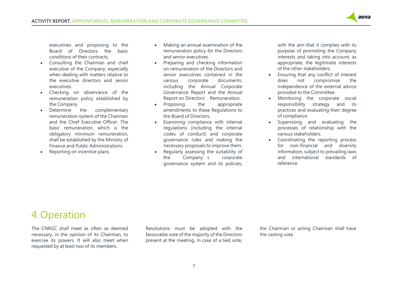

executives and proposing to the Board of Directors the basic conditions of their contracts.

- Consulting the Chairman and chief executive of the Company, especially when dealing with matters relative to the executive directors and senior executives.
- Checking on observance of the remuneration policy established by the Company.
- Determine the complementary remuneration system of the Chairman and the Chief Executive Officer. The basic remuneration, which is the obligatory minimum remuneration, shall be established by the Ministry of Finance and Public Administrations.
- Reporting on incentive plans.
- Making an annual examination of the remuneration policy for the Directors and senior executives.
- Preparing and checking information on remuneration of the Directors and senior executives contained in the various corporate documents, including the Annual Corporate Governance Report and the Annual Report on Directors' Remuneration.
- Proposing the appropriate amendments to these Regulations to the Board of Directors.
- Examining compliance with internal regulations (including the internal codes of conduct) and corporate governance rules and making the necessary proposals to improve them.
- Regularly assessing the suitability of the Company's corporate governance system and its policies,

with the aim that it complies with its purpose of promoting the Company interests and taking into account, as appropriate, the legitimate interests of the other stakeholders.

- Ensuring that any conflict of interest does not compromise the independence of the external advice provided to the Committee.
- Monitoring the corporate social responsibility strategy and its practices and evaluating their degree of compliance.
- Supervising and evaluating the processes of relationship with the various stakeholders.
- Coordinating the reporting process for non-financial and diversity information, subject to prevailing laws and international standards of reference.

# <span id="page-7-0"></span>4. Operation

The CNRGC shall meet as often as deemed necessary, in the opinion of its Chairman, to exercise its powers. It will also meet when requested by at least two of its members.

Resolutions must be adopted with the favourable vote of the majority of the Directors present at the meeting. In case of a tied vote, the Chairman or acting Chairman shall have the casting vote.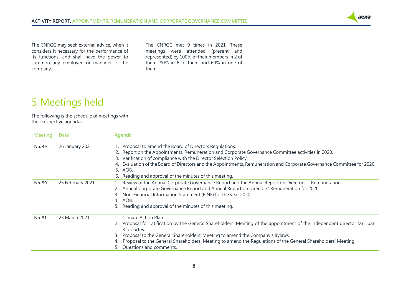

The CNRGC may seek external advice, when it considers it necessary for the performance of its functions, and shall have the power to summon any employee or manager of the company.

The CNRGC met 9 times in 2021. These meetings were attended (present and represented) by 100% of their members in 2 of them, 80% in 6 of them and 60% in one of them.

## <span id="page-8-0"></span>5.Meetings held

The following is the schedule of meetings with their respective agendas:

| <b>Meeting</b> | Date             | Agenda                                                                                                                                                                                                                                                                                                                                                                                                                            |
|----------------|------------------|-----------------------------------------------------------------------------------------------------------------------------------------------------------------------------------------------------------------------------------------------------------------------------------------------------------------------------------------------------------------------------------------------------------------------------------|
| No. 49         | 26 January 2021  | Proposal to amend the Board of Directors Regulations.<br>2. Report on the Appointments, Remuneration and Corporate Governance Committee activities in 2020.<br>Verification of compliance with the Director Selection Policy.<br>3.<br>Evaluation of the Board of Directors and the Appointments, Remuneration and Corporate Governance Committee for 2020.<br>5. AOB.<br>6. Reading and approval of the minutes of this meeting. |
| No. 50         | 25 February 2021 | Review of the Annual Corporate Governance Report and the Annual Report on Directors' Remuneration.<br>Annual Corporate Governance Report and Annual Report on Directors' Remuneration for 2020.<br>Non-Financial Information Statement (EINF) for the year 2020.<br>AOB.<br>4 <sup>1</sup><br>Reading and approval of the minutes of this meeting.                                                                                |
| No. 51         | 23 March 2021    | Climate Action Plan.<br>Proposal for ratification by the General Shareholders' Meeting of the appointment of the independent director Mr. Juan<br>Río Cortés.<br>Proposal to the General Shareholders' Meeting to amend the Company's Bylaws.<br>3.<br>Proposal to the General Shareholders' Meeting to amend the Regulations of the General Shareholders' Meeting.<br>Questions and comments.                                    |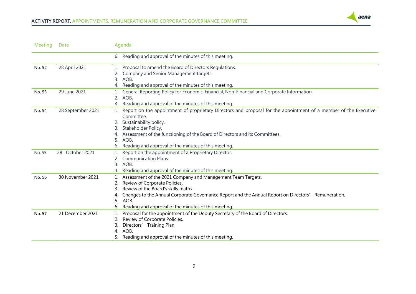

| <b>Meeting</b> | <b>Date</b>       | Agenda                                                                                                                         |  |  |
|----------------|-------------------|--------------------------------------------------------------------------------------------------------------------------------|--|--|
|                |                   | 6. Reading and approval of the minutes of this meeting.                                                                        |  |  |
| No. 52         | 28 April 2021     | Proposal to amend the Board of Directors Regulations.                                                                          |  |  |
|                |                   | Company and Senior Management targets.                                                                                         |  |  |
|                |                   | AOB.<br>3.                                                                                                                     |  |  |
|                |                   | Reading and approval of the minutes of this meeting.<br>4.                                                                     |  |  |
| No. 53         | 29 June 2021      | General Reporting Policy for Economic-Financial, Non-Financial and Corporate Information.                                      |  |  |
|                |                   | 2.<br>AOB.                                                                                                                     |  |  |
|                |                   | 3. Reading and approval of the minutes of this meeting.                                                                        |  |  |
| No. 54         | 28 September 2021 | Report on the appointment of proprietary Directors and proposal for the appointment of a member of the Executive<br>Committee. |  |  |
|                |                   | Sustainability policy.                                                                                                         |  |  |
|                |                   | Stakeholder Policy.                                                                                                            |  |  |
|                |                   | Assessment of the functioning of the Board of Directors and its Committees.                                                    |  |  |
|                |                   | 5.<br>AOB.                                                                                                                     |  |  |
|                |                   | Reading and approval of the minutes of this meeting.                                                                           |  |  |
| No. 55         | 28 October 2021   | Report on the appointment of a Proprietary Director.                                                                           |  |  |
|                |                   | <b>Communication Plans.</b>                                                                                                    |  |  |
|                |                   | 3.<br>AOB.                                                                                                                     |  |  |
|                |                   | Reading and approval of the minutes of this meeting.                                                                           |  |  |
| No. 56         | 30 November 2021  | Assessment of the 2021 Company and Management Team Targets.                                                                    |  |  |
|                |                   | Review of Corporate Policies.                                                                                                  |  |  |
|                |                   | Review of the Board's skills matrix.                                                                                           |  |  |
|                |                   | Changes to the Annual Corporate Governance Report and the Annual Report on Directors' Remuneration.                            |  |  |
|                |                   | AOB.<br>5.                                                                                                                     |  |  |
|                |                   | Reading and approval of the minutes of this meeting.                                                                           |  |  |
| No. 57         | 21 December 2021  | Proposal for the appointment of the Deputy Secretary of the Board of Directors.                                                |  |  |
|                |                   | Review of Corporate Policies.                                                                                                  |  |  |
|                |                   | Directors' Training Plan.                                                                                                      |  |  |
|                |                   | AOB.                                                                                                                           |  |  |
|                |                   | 5. Reading and approval of the minutes of this meeting.                                                                        |  |  |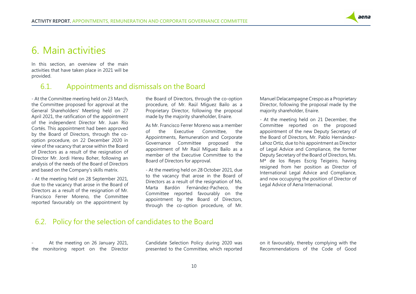

## <span id="page-10-0"></span>6. Main activities

In this section, an overview of the main activities that have taken place in 2021 will be provided.

#### <span id="page-10-1"></span>6.1. Appointments and dismissals on the Board

- At the Committee meeting held on 23 March, the Committee proposed for approval at the General Shareholders' Meeting held on 27 April 2021, the ratification of the appointment of the independent Director Mr. Juan Río Cortés. This appointment had been approved by the Board of Directors, through the cooption procedure, on 22 December 2020 in view of the vacancy that arose within the Board of Directors as a result of the resignation of Director Mr. Jordi Hereu Boher, following an analysis of the needs of the Board of Directors and based on the Company's skills matrix.

- At the meeting held on 28 September 2021, due to the vacancy that arose in the Board of Directors as a result of the resignation of Mr. Francisco Ferrer Moreno, the Committee reported favourably on the appointment by

the Board of Directors, through the co-option procedure, of Mr. Raúl Míguez Bailo as a Proprietary Director, following the proposal made by the majority shareholder, Enaire.

As Mr. Francisco Ferrer Moreno was a member of the Executive Committee, the Appointments, Remuneration and Corporate Governance Committee proposed the appointment of Mr Raúl Míguez Bailo as a member of the Executive Committee to the Board of Directors for approval.

- At the meeting held on 28 October 2021, due to the vacancy that arose in the Board of Directors as a result of the resignation of Ms. Marta Bardón Fernández-Pacheco, the Committee reported favourably on the appointment by the Board of Directors, through the co-option procedure, of Mr.

Manuel Delacampagne Crespo as a Proprietary Director, following the proposal made by the majority shareholder, Enaire.

- At the meeting held on 21 December, the Committee reported on the proposed appointment of the new Deputy Secretary of the Board of Directors, Mr. Pablo Hernández-Lahoz Ortiz, due to his appointment as Director of Legal Advice and Compliance, the former Deputy Secretary of the Board of Directors, Ms. Mª de los Reyes Escrig Teigeiro, having resigned from her position as Director of International Legal Advice and Compliance, and now occupying the position of Director of Legal Advice of Aena Internacional.

### <span id="page-10-2"></span>6.2. Policy for the selection of candidates to the Board

At the meeting on 26 January 2021, the monitoring report on the Director

Candidate Selection Policy during 2020 was presented to the Committee, which reported on it favourably, thereby complying with the Recommendations of the Code of Good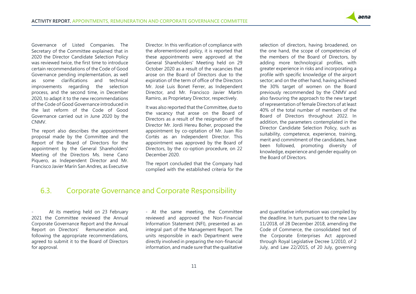

Governance of Listed Companies. The Secretary of the Committee explained that in 2020 the Director Candidate Selection Policy was reviewed twice, the first time to introduce certain recommendations of the Code of Good Governance pending implementation, as well as some clarifications and technical improvements regarding the selection process, and the second time, in December 2020, to adapt it to the new recommendations of the Code of Good Governance introduced in the last reform of the Code of Good Governance carried out in June 2020 by the CNMV.

The report also describes the appointment proposal made by the Committee and the Report of the Board of Directors for the appointment by the General Shareholders' Meeting of the Directors Ms. Irene Cano Piquero, as Independent Director and Mr. Francisco Javier Marín San Andres, as Executive

Director. In this verification of compliance with the aforementioned policy, it is reported that these appointments were approved at the General Shareholders' Meeting held on 29 October 2020 as a result of the vacancies that arose on the Board of Directors due to the expiration of the term of office of the Directors Mr. José Luis Bonet Ferrer, as Independent Director, and Mr. Francisco Javier Martín Ramiro, as Proprietary Director, respectively.

It was also reported that the Committee, due to the vacancy that arose on the Board of Directors as a result of the resignation of the Director Mr. Jordi Hereu Boher, proposed the appointment by co-optation of Mr. Juan Río Cortés as an Independent Director. This appointment was approved by the Board of Directors, by the co-option procedure, on 22 December 2020.

The report concluded that the Company had complied with the established criteria for the selection of directors, having broadened, on the one hand, the scope of competencies of the members of the Board of Directors, by adding more technological profiles, with greater experience in risks and incorporating a profile with specific knowledge of the airport sector; and on the other hand, having achieved the 30% target of women on the Board previously recommended by the CNMV and also favouring the approach to the new target of representation of female Directors of at least 40% of the total number of members of the Board of Directors throughout 2022. In addition, the parameters contemplated in the Director Candidate Selection Policy, such as suitability, competence, experience, training, merit and commitment of the candidates, have been followed, promoting diversity of knowledge, experience and gender equality on the Board of Directors.

### <span id="page-11-0"></span>6.3. Corporate Governance and Corporate Responsibility

At its meeting held on 23 February 2021 the Committee reviewed the Annual Corporate Governance Report and the Annual Report on Directors' Remuneration and, following the appropriate recommendations, agreed to submit it to the Board of Directors for approval.

- At the same meeting, the Committee reviewed and approved the Non-Financial Information Statement (NFI), presented as an integral part of the Management Report. The units responsible in each Department were directly involved in preparing the non-financial information, and made sure that the qualitative

and quantitative information was compiled by the deadline. In turn, pursuant to the new Law 11/2018, of 28 December 2018, amending the Code of Commerce, the consolidated text of the Corporate Enterprises Act approved through Royal Legislative Decree 1/2010, of 2 July, and Law 22/2015, of 20 July, governing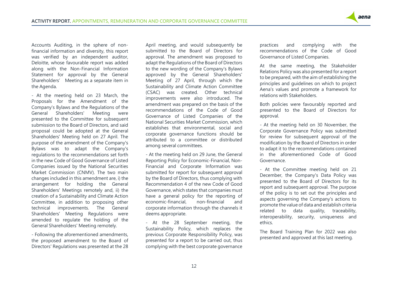

Accounts Auditing, in the sphere of nonfinancial information and diversity, this report was verified by an independent auditor, Deloitte, whose favourable report was added along with the Non-Financial Information Statement for approval by the General Shareholders' Meeting as a separate item in the Agenda.

- At the meeting held on 23 March, the Proposals for the Amendment of the Company's Bylaws and the Regulations of the General Shareholders' Meeting were presented to the Committee for subsequent submission to the Board of Directors, and said proposal could be adopted at the General Shareholders' Meeting held on 27 April. The purpose of the amendment of the Company's Bylaws was to adapt the Company's regulations to the recommendations set forth in the new Code of Good Governance of Listed Companies issued by the National Securities Market Commission (CNMV). The two main changes included in this amendment are, i) the arrangement for holding the General Shareholders' Meetings remotely and, ii) the creation of a Sustainability and Climate Action Committee, in addition to proposing other technical improvements. The General Shareholders' Meeting Regulations were amended to regulate the holding of the General Shareholders' Meeting remotely.

- Following the aforementioned amendments, the proposed amendment to the Board of Directors' Regulations was presented at the 28 April meeting, and would subsequently be submitted to the Board of Directors for approval. The amendment was proposed to adapt the Regulations of the Board of Directors to the new wording of the Company's Bylaws approved by the General Shareholders' Meeting of 27 April, through which the Sustainability and Climate Action Committee (CSAC) was created. Other technical improvements were also introduced. The amendment was prepared on the basis of the recommendations of the Code of Good Governance of Listed Companies of the National Securities Market Commission, which establishes that environmental, social and corporate governance functions should be attributed to a committee or distributed among several committees.

- At the meeting held on 29 June, the General Reporting Policy for Economic-Financial, Non-Financial and Corporate Information was submitted for report for subsequent approval by the Board of Directors, thus complying with Recommendation 4 of the new Code of Good Governance, which states that companies must have a general policy for the reporting of economic-financial, non-financial and corporate information through the channels it deems appropriate.

- At the 28 September meeting, the Sustainability Policy, which replaces the previous Corporate Responsibility Policy, was presented for a report to be carried out, thus complying with the best corporate governance

practices and complying with the recommendations of the Code of Good Governance of Listed Companies.

At the same meeting, the Stakeholder Relations Policy was also presented for a report to be prepared, with the aim of establishing the principles and guidelines on which to project Aena's values and promote a framework for relations with Stakeholders.

Both policies were favourably reported and presented to the Board of Directors for approval.

- At the meeting held on 30 November, the Corporate Governance Policy was submitted for review for subsequent approval of the modification by the Board of Directors in order to adapt it to the recommendations contained in the aforementioned Code of Good Governance.

- At the Committee meeting held on 21 December, the Company's Data Policy was presented to the Board of Directors for its report and subsequent approval. The purpose of the policy is to set out the principles and aspects governing the Company's actions to promote the value of data and establish criteria related to data quality, traceability, interoperability, security, uniqueness and ethics.

The Board Training Plan for 2022 was also presented and approved at this last meeting.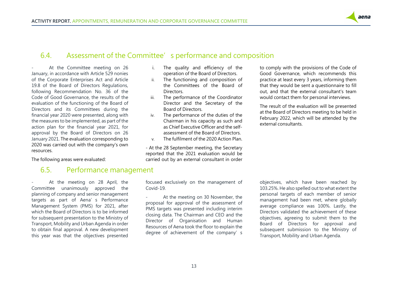

#### <span id="page-13-0"></span>6.4. Assessment of the Committee's performance and composition

At the Committee meeting on 26 January, in accordance with Article 529 nonies of the Corporate Enterprises Act and Article 19.8 of the Board of Directors Regulations, following Recommendation No. 36 of the Code of Good Governance, the results of the evaluation of the functioning of the Board of Directors and its Committees during the financial year 2020 were presented, along with the measures to be implemented, as part of the action plan for the financial year 2021, for approval by the Board of Directors on 26 January 2021. The evaluation corresponding to 2020 was carried out with the company's own resources.

<span id="page-13-1"></span>The following areas were evaluated:

#### 6.5. Performance management

At the meeting on 28 April, the Committee unanimously approved the planning of company and senior management targets as part of Aena's Performance Management System (PMS) for 2021, after which the Board of Directors is to be informed for subsequent presentation to the Ministry of Transport, Mobility and Urban Agenda in order to obtain final approval. A new development this year was that the objectives presented

- i. The quality and efficiency of the operation of the Board of Directors.
- ii. The functioning and composition of the Committees of the Board of Directors.
- iii. The performance of the Coordinator Director and the Secretary of the Board of Directors.
- iv. The performance of the duties of the Chairman in his capacity as such and as Chief Executive Officer and the selfassessment of the Board of Directors.
- v. The fulfilment of the 2020 Action Plan.

- At the 28 September meeting, the Secretary reported that the 2021 evaluation would be carried out by an external consultant in order to comply with the provisions of the Code of Good Governance, which recommends this practice at least every 3 years, informing them that they would be sent a questionnaire to fill out, and that the external consultant's team would contact them for personal interviews.

The result of the evaluation will be presented at the Board of Directors meeting to be held in February 2022, which will be attended by the external consultants.

focused exclusively on the management of Covid-19.

At the meeting on 30 November, the proposal for approval of the assessment of PMS targets was presented including interim closing data. The Chairman and CEO and the Director of Organisation and Human Resources of Aena took the floor to explain the degree of achievement of the company's

objectives, which have been reached by 103.25%. He also spelled out to what extent the personal targets of each member of senior management had been met, where globally average compliance was 100%. Lastly, the Directors validated the achievement of these objectives, agreeing to submit them to the Board of Directors for approval and subsequent submission to the Ministry of Transport, Mobility and Urban Agenda.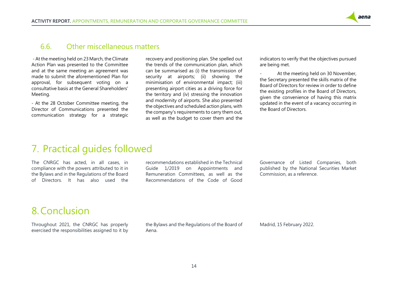#### <span id="page-14-0"></span>6.6. Other miscellaneous matters

- At the meeting held on 23 March, the Climate Action Plan was presented to the Committee and at the same meeting an agreement was made to submit the aforementioned Plan for approval, for subsequent voting on a consultative basis at the General Shareholders' Meeting.

- At the 28 October Committee meeting, the Director of Communications presented the communication strategy for a strategic recovery and positioning plan. She spelled out the trends of the communication plan, which can be summarised as (i) the transmission of security at airports; (ii) showing the minimisation of environmental impact; (iii) presenting airport cities as a driving force for the territory and (iv) stressing the innovation and modernity of airports. She also presented the objectives and scheduled action plans, with the company's requirements to carry them out, as well as the budget to cover them and the

indicators to verify that the objectives pursued are being met.

aena

At the meeting held on 30 November, the Secretary presented the skills matrix of the Board of Directors for review in order to define the existing profiles in the Board of Directors, given the convenience of having this matrix updated in the event of a vacancy occurring in the Board of Directors.

### <span id="page-14-1"></span>7. Practical guides followed

The CNRGC has acted, in all cases, in compliance with the powers attributed to it in the Bylaws and in the Regulations of the Board of Directors. It has also used the recommendations established in the Technical Guide 1/2019 on Appointments and Remuneration Committees, as well as the Recommendations of the Code of Good Governance of Listed Companies, both published by the National Securities Market Commission, as a reference.

## <span id="page-14-2"></span>8.Conclusion

Throughout 2021, the CNRGC has properly exercised the responsibilities assigned to it by the Bylaws and the Regulations of the Board of Aena.

Madrid, 15 February 2022.